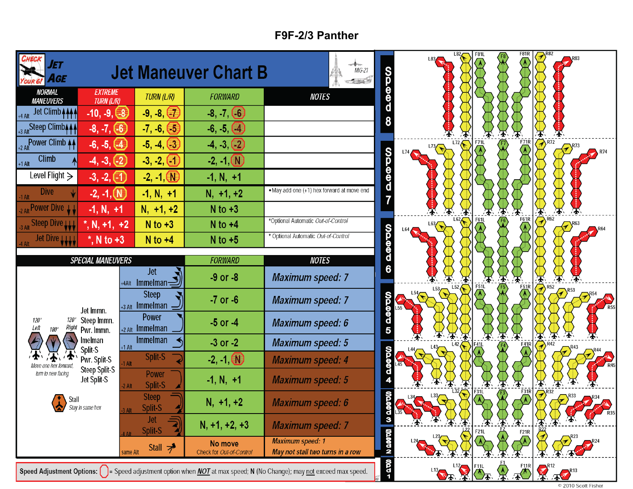## **F9F-2/3 Panther**

| ΙΕΤ<br>AGE                                    |                                      |                                                                                                                                                                       | <b>Jet Maneuver Chart B</b>         | $MIG-21$<br>$-1.348$                                        | <b>OGOOO</b>            |                      | <b>F81L</b>                | F81R                     |                                                                                                                    |
|-----------------------------------------------|--------------------------------------|-----------------------------------------------------------------------------------------------------------------------------------------------------------------------|-------------------------------------|-------------------------------------------------------------|-------------------------|----------------------|----------------------------|--------------------------|--------------------------------------------------------------------------------------------------------------------|
| <b>NORMAL</b><br><b>MANEUVERS</b>             | <b>EXTREME</b><br><b>TURN (L/R)</b>  | <b>TURN (L/R)</b>                                                                                                                                                     | <b>FORWARD</b>                      | <b>NOTES</b>                                                |                         |                      |                            |                          |                                                                                                                    |
| Jet Climb <b>AAA</b>                          | $-10, -9, -8$                        | $-9, -8, (-7)$                                                                                                                                                        | $-8, -7, (-6)$                      |                                                             | 8                       |                      |                            |                          |                                                                                                                    |
| +3 Alt Steep Climb <sub>444</sub>             | $-8, -7, (-6)$                       | $-7, -6, (-5)$                                                                                                                                                        | $-6, -5, (-4)$                      |                                                             |                         |                      |                            |                          |                                                                                                                    |
| +2 Alt Power Climb 44                         | $-6, -5, (4)$                        | $-5, -4, (-3)$                                                                                                                                                        | $-4, -3, -2$                        |                                                             |                         | L72<br>L73           | <b>F71L</b>                | F21R                     |                                                                                                                    |
| Climb<br>$+1$ Alt                             | $-4, -3, (-2)$                       | $-3, -2,$                                                                                                                                                             | $-2, -1, 0$                         |                                                             |                         |                      |                            |                          |                                                                                                                    |
| Level Flight $\geq$                           | $-3, -2, (-1)$                       | $-2, -1, 0$                                                                                                                                                           | $-1, N, +1$                         |                                                             | <b>QQQQQ</b>            |                      |                            |                          |                                                                                                                    |
| <b>Dive</b>                                   | $-2, -1, (N)$                        | $-1, N, +1$                                                                                                                                                           | $N, +1, +2$                         | . May add one (+1) hex forward at move end                  | $\overline{\mathbf{7}}$ |                      |                            |                          |                                                                                                                    |
| 2 Alt Power Dive 11                           | $-1, N, +1$                          | $N, +1, +2$                                                                                                                                                           | $N$ to $+3$                         | *Optional Automatic Out-of-Control                          |                         | L62                  | F61L                       | F61R                     | $\overline{\bigoplus_{\mathcal{R}^{62}}}$                                                                          |
| Steep Dive W                                  | $k$ , N, +1, +2                      | $N$ to $+3$                                                                                                                                                           | $N$ to $+4$                         | * Optional Automatic Out-of-Control                         |                         | L63                  |                            |                          |                                                                                                                    |
| Jet Dive LLLL                                 | $^*$ , N to +3                       | $N$ to $+4$                                                                                                                                                           | $N$ to $+5$                         |                                                             | $\theta$                |                      |                            |                          |                                                                                                                    |
|                                               | <b>SPECIAL MANEUVERS</b>             |                                                                                                                                                                       | <b>FORWARD</b>                      | <b>NOTES</b>                                                |                         |                      |                            |                          |                                                                                                                    |
|                                               |                                      | <b>Jet</b><br>+4Alt Immelman $\mathcal{Z}$                                                                                                                            | $-9$ or $-8$                        | <b>Maximum speed: 7</b>                                     |                         | $\rightarrow$<br>L52 | F51L                       | 压                        | $\mathbf{F}$<br>全                                                                                                  |
|                                               | Jet Immn.                            | <b>Steep</b><br>$+3$ Alt Immelman -                                                                                                                                   | $-7$ or $-6$                        | <b>Maximum speed: 7</b>                                     |                         |                      |                            | F <sub>51</sub> R        | $R^{52}$                                                                                                           |
| $120^{\circ}$<br>Right<br>Left<br>$180^\circ$ | Steep Immn.<br>Pwr. Immn.            | <b>Power</b><br>$+2$ Alt Immelman                                                                                                                                     | $-5$ or $-4$                        | Maximum speed: 6                                            | <b>QUODD</b>            |                      | 承                          | 不                        | 墨                                                                                                                  |
|                                               | Imelman<br>Split-S                   | <b>Immelman</b><br>$+1$ Alt                                                                                                                                           | $-3$ or $-2$                        | <b>Maximum speed: 5</b>                                     |                         |                      |                            | <b>F41R</b>              | $\mathcal{R}$ <sup>R42</sup><br>$\left($ <sup>R43</sup>                                                            |
| turn to new facing                            | Pwr. Split-S<br><b>Steep Split-S</b> | Split-S<br>1 Alt                                                                                                                                                      | $-2, -1$ $N$                        | <b>Maximum speed: 4</b>                                     | <b>OODOD</b>            |                      |                            |                          |                                                                                                                    |
|                                               | Jet Split-S                          | Power<br>Split-S<br>$2$ Alt                                                                                                                                           | $-1, N, +1$                         | <b>Maximum speed: 5</b>                                     |                         |                      | 承                          | 牙<br>不<br>F31R           | ④                                                                                                                  |
| Stall                                         | Stay in same hex                     | <b>Steep</b><br>Split-S                                                                                                                                               | $N, +1, +2$                         | <b>Maximum speed: 6</b>                                     | <b>DOD00</b>            |                      |                            | $\mathcal{L}$            | $\left\langle \widehat{\mathcal{P}}\right\rangle^{\mathrm{R}32}$<br>$\left(\frac{1}{2}\right)^{R33}$<br><b>R35</b> |
|                                               |                                      | Jet<br>Split-S                                                                                                                                                        | $N, +1, +2, +3$                     | <b>Maximum speed: 7</b>                                     | $\frac{d}{3}$           |                      | 承<br>F21L                  | 学 学<br>F <sub>21</sub> R |                                                                                                                    |
|                                               |                                      | Stall $\overline{z}$<br>same Alt                                                                                                                                      | No move<br>Check for Out-of-Control | <b>Maximum speed: 1</b><br>May not stall two turns in a row | N QOOD                  |                      |                            |                          |                                                                                                                    |
|                                               |                                      | <b>Speed Adjustment Options:</b> $\begin{bmatrix} \ \ \end{bmatrix}$ = Speed adjustment option when <i>NOT</i> at max speed; N (No Change); may not exceed max speed. | $-270$                              |                                                             |                         |                      | L13 2 12 11 12 11 11 12 13 |                          |                                                                                                                    |

© 2010 Scott Fisher